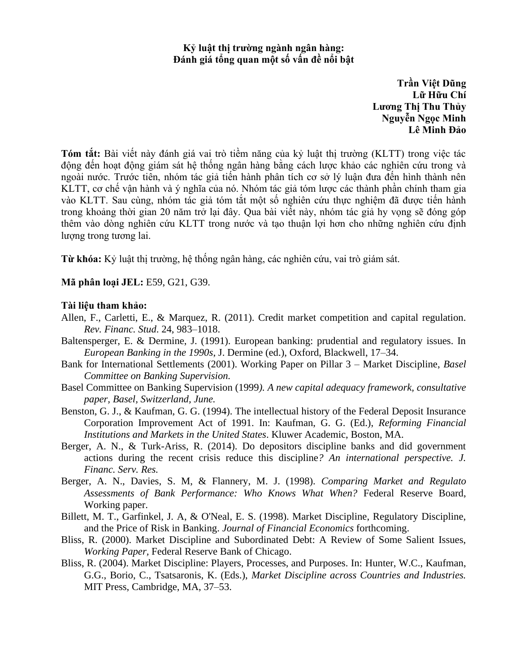## **Kỷ luật thị trường ngành ngân hàng: Đánh giá tổng quan một số vấn đề nổi bật**

**Trần Việt Dũng Lữ Hữu Chí Lương Thị Thu Thủy Nguyễn Ngọc Minh Lê Minh Đảo**

**Tóm tắt:** Bài viết này đánh giá vai trò tiềm năng của kỷ luật thị trường (KLTT) trong việc tác động đến hoạt động giám sát hệ thống ngân hàng bằng cách lược khảo các nghiên cứu trong và ngoài nước. Trước tiên, nhóm tác giả tiến hành phân tích cơ sở lý luận đưa đến hình thành nên KLTT, cơ chế vận hành và ý nghĩa của nó. Nhóm tác giả tóm lược các thành phần chính tham gia vào KLTT. Sau cùng, nhóm tác giả tóm tắt một số nghiên cứu thực nghiệm đã được tiến hành trong khoảng thời gian 20 năm trở lại đây. Qua bài viết này, nhóm tác giả hy vọng sẽ đóng góp thêm vào dòng nghiên cứu KLTT trong nước và tạo thuận lợi hơn cho những nghiên cứu định lượng trong tương lai.

**Từ khóa:** Kỷ luật thị trường, hệ thống ngân hàng, các nghiên cứu, vai trò giám sát.

**Mã phân loại JEL:** E59, G21, G39.

## **Tài liệu tham khảo:**

- Allen, F., Carletti, E., & Marquez, R. (2011). Credit market competition and capital regulation. *Rev. Financ. Stud*. 24, 983–1018.
- Baltensperger, E. & Dermine, J. (1991). European banking: prudential and regulatory issues. In *European Banking in the 1990s*, J. Dermine (ed.), Oxford, Blackwell, 17–34.
- Bank for International Settlements (2001). Working Paper on Pillar 3 Market Discipline, *Basel Committee on Banking Supervision.*
- Basel Committee on Banking Supervision (1999*). A new capital adequacy framework, consultative paper, Basel, Switzerland, June.*
- Benston, G. J., & Kaufman, G. G. (1994). The intellectual history of the Federal Deposit Insurance Corporation Improvement Act of 1991. In: Kaufman, G. G. (Ed.), *Reforming Financial Institutions and Markets in the United States*. Kluwer Academic, Boston, MA.
- Berger, A. N., & Turk-Ariss, R. (2014). Do depositors discipline banks and did government actions during the recent crisis reduce this discipline*? An international perspective. J. Financ. Serv. Res.*
- Berger, A. N., Davies, S. M, & Flannery, M. J. (1998). *Comparing Market and Regulato Assessments of Bank Performance: Who Knows What When?* Federal Reserve Board, Working paper.
- Billett, M. T., Garfinkel, J. A, & O'Neal, E. S. (1998). Market Discipline, Regulatory Discipline, and the Price of Risk in Banking. *Journal of Financial Economics* forthcoming.
- Bliss, R. (2000). Market Discipline and Subordinated Debt: A Review of Some Salient Issues, *Working Paper,* Federal Reserve Bank of Chicago.
- Bliss, R. (2004). Market Discipline: Players, Processes, and Purposes. In: Hunter, W.C., Kaufman, G.G., Borio, C., Tsatsaronis, K. (Eds.), *Market Discipline across Countries and Industries.* MIT Press, Cambridge, MA, 37–53.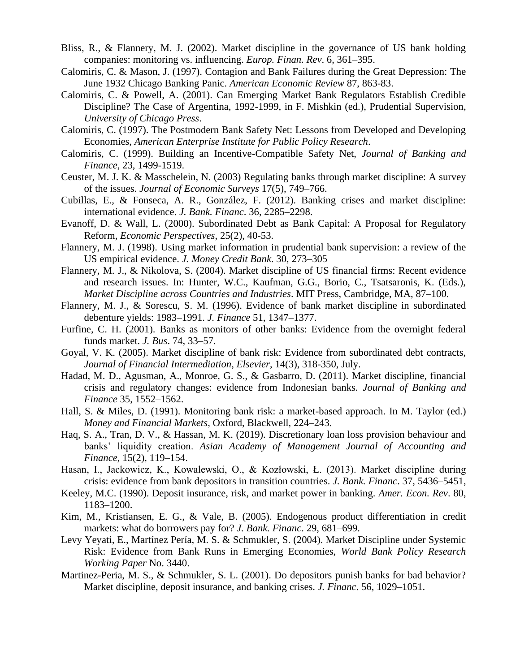- Bliss, R., & Flannery, M. J. (2002). Market discipline in the governance of US bank holding companies: monitoring vs. influencing. *Europ. Finan. Rev*. 6, 361–395.
- Calomiris, C. & Mason, J. (1997). Contagion and Bank Failures during the Great Depression: The June 1932 Chicago Banking Panic. *American Economic Review* 87, 863-83.
- Calomiris, C. & Powell, A. (2001). Can Emerging Market Bank Regulators Establish Credible Discipline? The Case of Argentina, 1992-1999, in F. Mishkin (ed.), Prudential Supervision, *University of Chicago Press*.
- Calomiris, C. (1997). The Postmodern Bank Safety Net: Lessons from Developed and Developing Economies, *American Enterprise Institute for Public Policy Research*.
- Calomiris, C. (1999). Building an Incentive-Compatible Safety Net, *Journal of Banking and Finance*, 23, 1499-1519.
- Ceuster, M. J. K. & Masschelein, N. (2003) Regulating banks through market discipline: A survey of the issues. *Journal of Economic Surveys* 17(5), 749–766.
- Cubillas, E., & Fonseca, A. R., González, F. (2012). Banking crises and market discipline: international evidence. *J. Bank. Financ*. 36, 2285–2298.
- Evanoff, D. & Wall, L. (2000). Subordinated Debt as Bank Capital: A Proposal for Regulatory Reform, *Economic Perspectives*, 25(2), 40-53.
- Flannery, M. J. (1998). Using market information in prudential bank supervision: a review of the US empirical evidence. *J. Money Credit Bank*. 30, 273–305
- Flannery, M. J., & Nikolova, S. (2004). Market discipline of US financial firms: Recent evidence and research issues. In: Hunter, W.C., Kaufman, G.G., Borio, C., Tsatsaronis, K. (Eds.), *Market Discipline across Countries and Industries*. MIT Press, Cambridge, MA, 87–100.
- Flannery, M. J., & Sorescu, S. M. (1996). Evidence of bank market discipline in subordinated debenture yields: 1983–1991. *J. Finance* 51, 1347–1377.
- Furfine, C. H. (2001). Banks as monitors of other banks: Evidence from the overnight federal funds market. *J. Bus*. 74, 33–57.
- Goyal, V. K. (2005). Market discipline of bank risk: Evidence from subordinated debt contracts, *Journal of Financial Intermediation, Elsevier*, 14(3), 318-350, July.
- Hadad, M. D., Agusman, A., Monroe, G. S., & Gasbarro, D. (2011). Market discipline, financial crisis and regulatory changes: evidence from Indonesian banks. *Journal of Banking and Finance* 35, 1552–1562.
- Hall, S. & Miles, D. (1991). Monitoring bank risk: a market-based approach. In M. Taylor (ed.) *Money and Financial Markets*, Oxford, Blackwell, 224–243.
- Haq, S. A., Tran, D. V., & Hassan, M. K. (2019). Discretionary loan loss provision behaviour and banks' liquidity creation. *Asian Academy of Management Journal of Accounting and Finance*, 15(2), 119–154.
- Hasan, I., Jackowicz, K., Kowalewski, O., & Kozłowski, Ł. (2013). Market discipline during crisis: evidence from bank depositors in transition countries. *J. Bank. Financ*. 37, 5436–5451,
- Keeley, M.C. (1990). Deposit insurance, risk, and market power in banking. *Amer. Econ. Rev*. 80, 1183–1200.
- Kim, M., Kristiansen, E. G., & Vale, B. (2005). Endogenous product differentiation in credit markets: what do borrowers pay for? *J. Bank. Financ*. 29, 681–699.
- Levy Yeyati, E., Martínez Pería, M. S. & Schmukler, S. (2004). Market Discipline under Systemic Risk: Evidence from Bank Runs in Emerging Economies, *World Bank Policy Research Working Paper* No. 3440.
- Martinez-Peria, M. S., & Schmukler, S. L. (2001). Do depositors punish banks for bad behavior? Market discipline, deposit insurance, and banking crises. *J. Financ*. 56, 1029–1051.